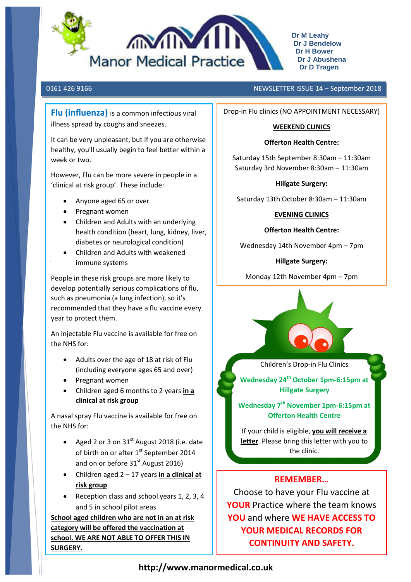

**Dr M Leahy Dr J Bendelow Dr H Bower Dr J Abushena Dr D Tragen**

**Flu (influenza)** is a common infectious viral illness spread by coughs and sneezes.

It can be very unpleasant, but if you are otherwise healthy, you'll usually begin to feel better within a week or two.

However, Flu can be more severe in people in a 'clinical at risk group'. These include:

- Anyone aged 65 or over
- Pregnant women
- Children and Adults with an underlying health condition (heart, lung, kidney, liver, diabetes or neurological condition)
- Children and Adults with weakened immune systems

People in these risk groups are more likely to develop potentially serious complications of flu, such as pneumonia (a lung infection), so it's recommended that they have a flu vaccine every year to protect them.

An injectable Flu vaccine is available for free on the NHS for:

- Adults over the age of 18 at risk of Flu (including everyone ages 65 and over)
- Pregnant women
- Children aged 6 months to 2 years **in a clinical at risk group**

A nasal spray Flu vaccine is available for free on the NHS for:

- Aged 2 or 3 on  $31<sup>st</sup>$  August 2018 (i.e. date of birth on or after 1st September 2014 and on or before  $31<sup>st</sup>$  August 2016)
- Children aged 2 17 years **in a clinical at risk group**
- Reception class and school years 1, 2, 3, 4 and 5 in school pilot areas

**School aged children who are not in an at risk category will be offered the vaccination at school. WE ARE NOT ABLE TO OFFER THIS IN SURGERY.**

## 0161 426 9166 NEWSLETTER ISSUE 14 – September 2018

Drop-in Flu clinics (NO APPOINTMENT NECESSARY)

## **WEEKEND CLINICS**

## **Offerton Health Centre:**

Saturday 15th September 8:30am – 11:30am Saturday 3rd November 8:30am – 11:30am

## **Hillgate Surgery:**

Saturday 13th October 8:30am – 11:30am

## **EVENING CLINICS**

## **Offerton Health Centre:**

Wednesday 14th November 4pm – 7pm

# **Hillgate Surgery:**

Monday 12th November 4pm – 7pm



Children's Drop-in Flu Clinics

**Wednesday 24th October 1pm-6:15pm at Hillgate Surgery**

**Wednesday 7th November 1pm-6:15pm at Offerton Health Centre**

If your child is eligible, **you will receive a letter**. Please bring this letter with you to the clinic.

# **REMEMBER…**

Choose to have your Flu vaccine at **YOUR** Practice where the team knows **YOU** and where **WE HAVE ACCESS TO YOUR MEDICAL RECORDS FOR CONTINUITY AND SAFETY.**